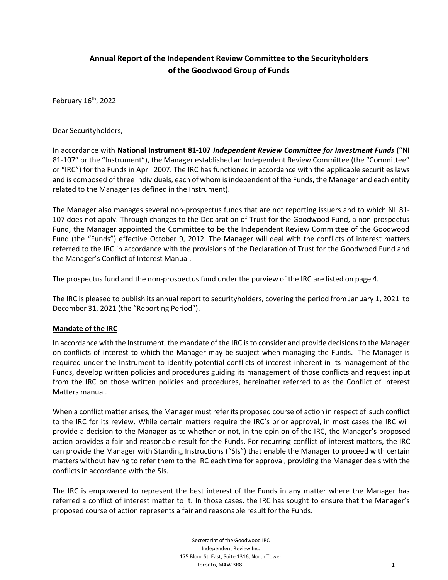# **Annual Report of the Independent Review Committee to the Securityholders of the Goodwood Group of Funds**

February 16<sup>th</sup>, 2022

Dear Securityholders,

In accordance with **National Instrument 81-107** *Independent Review Committee for Investment Funds* ("NI 81-107" or the "Instrument"), the Manager established an Independent Review Committee (the "Committee" or "IRC") for the Funds in April 2007. The IRC has functioned in accordance with the applicable securities laws and is composed of three individuals, each of whom is independent of the Funds, the Manager and each entity related to the Manager (as defined in the Instrument).

The Manager also manages several non-prospectus funds that are not reporting issuers and to which NI 81- 107 does not apply. Through changes to the Declaration of Trust for the Goodwood Fund, a non-prospectus Fund, the Manager appointed the Committee to be the Independent Review Committee of the Goodwood Fund (the "Funds") effective October 9, 2012. The Manager will deal with the conflicts of interest matters referred to the IRC in accordance with the provisions of the Declaration of Trust for the Goodwood Fund and the Manager's Conflict of Interest Manual.

The prospectus fund and the non-prospectus fund under the purview of the IRC are listed on page 4.

The IRC is pleased to publish its annual report to securityholders, covering the period from January 1, 2021 to December 31, 2021 (the "Reporting Period").

## **Mandate of the IRC**

In accordance with the Instrument, the mandate of the IRC is to consider and provide decisions to the Manager on conflicts of interest to which the Manager may be subject when managing the Funds. The Manager is required under the Instrument to identify potential conflicts of interest inherent in its management of the Funds, develop written policies and procedures guiding its management of those conflicts and request input from the IRC on those written policies and procedures, hereinafter referred to as the Conflict of Interest Matters manual.

When a conflict matter arises, the Manager must refer its proposed course of action in respect of such conflict to the IRC for its review. While certain matters require the IRC's prior approval, in most cases the IRC will provide a decision to the Manager as to whether or not, in the opinion of the IRC, the Manager's proposed action provides a fair and reasonable result for the Funds. For recurring conflict of interest matters, the IRC can provide the Manager with Standing Instructions ("SIs") that enable the Manager to proceed with certain matters without having to refer them to the IRC each time for approval, providing the Manager deals with the conflicts in accordance with the SIs.

The IRC is empowered to represent the best interest of the Funds in any matter where the Manager has referred a conflict of interest matter to it. In those cases, the IRC has sought to ensure that the Manager's proposed course of action represents a fair and reasonable result for the Funds.

> Secretariat of the Goodwood IRC Independent Review Inc. 175 Bloor St. East, Suite 1316, North Tower Toronto, M4W 3R8 1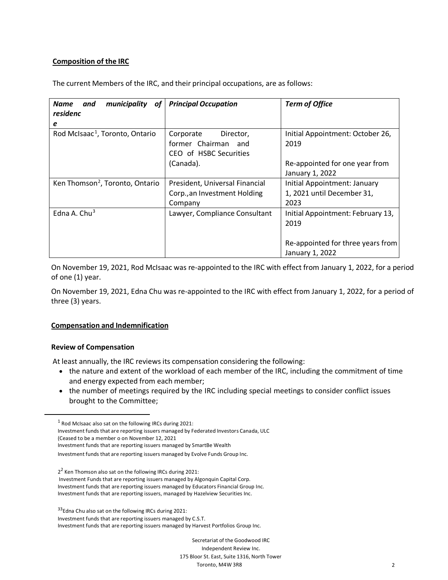## **Composition of the IRC**

The current Members of the IRC, and their principal occupations, are as follows:

| <b>Name</b><br>municipality<br>and<br>of<br>residenc<br>e | <b>Principal Occupation</b>                                               | <b>Term of Office</b>                                              |
|-----------------------------------------------------------|---------------------------------------------------------------------------|--------------------------------------------------------------------|
| Rod McIsaac <sup>1</sup> , Toronto, Ontario               | Corporate<br>Director,<br>former Chairman and<br>CEO of HSBC Securities   | Initial Appointment: October 26,<br>2019                           |
|                                                           | (Canada).                                                                 | Re-appointed for one year from<br>January 1, 2022                  |
| Ken Thomson <sup>2</sup> , Toronto, Ontario               | President, Universal Financial<br>Corp., an Investment Holding<br>Company | Initial Appointment: January<br>1, 2021 until December 31,<br>2023 |
| Edna A. Chu $3$                                           | Lawyer, Compliance Consultant                                             | Initial Appointment: February 13,<br>2019                          |
|                                                           |                                                                           | Re-appointed for three years from<br>January 1, 2022               |

On November 19, 2021, Rod McIsaac was re-appointed to the IRC with effect from January 1, 2022, for a period of one (1) year.

On November 19, 2021, Edna Chu was re-appointed to the IRC with effect from January 1, 2022, for a period of three (3) years.

## **Compensation and Indemnification**

#### **Review of Compensation**

At least annually, the IRC reviews its compensation considering the following:

- the nature and extent of the workload of each member of the IRC, including the commitment of time and energy expected from each member;
- the number of meetings required by the IRC including special meetings to consider conflict issues brought to the Committee;

<span id="page-1-0"></span><sup>1</sup> Rod McIsaac also sat on the following IRCs during 2021:

Investment funds that are reporting issuers managed by Federated Investors Canada, ULC

(Ceased to be a member o on November 12, 2021

Investment funds that are reporting issuers managed by SmartBe Wealth

Investment funds that are reporting issuers managed by Evolve Funds Group Inc.

<span id="page-1-1"></span> $2<sup>2</sup>$  Ken Thomson also sat on the following IRCs during 2021:

Investment Funds that are reporting issuers managed by Algonquin Capital Corp. Investment funds that are reporting issuers managed by Educators Financial Group Inc. Investment funds that are reporting issuers, managed by Hazelview Securities Inc.

<span id="page-1-2"></span><sup>33</sup> Edna Chu also sat on the following IRCs during 2021: Investment funds that are reporting issuers managed by C.S.T. Investment funds that are reporting issuers managed by Harvest Portfolios Group Inc.

> Secretariat of the Goodwood IRC Independent Review Inc. 175 Bloor St. East, Suite 1316, North Tower Toronto, M4W 3R8 2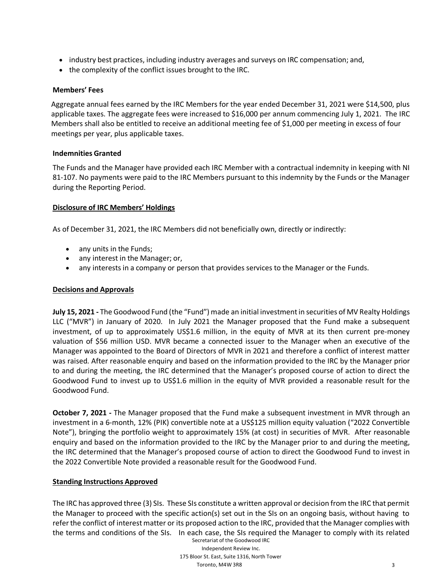- industry best practices, including industry averages and surveys on IRC compensation; and,
- the complexity of the conflict issues brought to the IRC.

## **Members' Fees**

Aggregate annual fees earned by the IRC Members for the year ended December 31, 2021 were \$14,500, plus applicable taxes. The aggregate fees were increased to \$16,000 per annum commencing July 1, 2021. The IRC Members shall also be entitled to receive an additional meeting fee of \$1,000 per meeting in excess of four meetings per year, plus applicable taxes.

#### **Indemnities Granted**

The Funds and the Manager have provided each IRC Member with a contractual indemnity in keeping with NI 81-107. No payments were paid to the IRC Members pursuant to this indemnity by the Funds or the Manager during the Reporting Period.

#### **Disclosure of IRC Members' Holdings**

As of December 31, 2021, the IRC Members did not beneficially own, directly or indirectly:

- any units in the Funds;
- any interest in the Manager; or,
- any interests in a company or person that provides services to the Manager or the Funds.

## **Decisions and Approvals**

**July 15, 2021 -** The Goodwood Fund (the "Fund") made an initial investment in securities of MV Realty Holdings LLC ("MVR") in January of 2020. In July 2021 the Manager proposed that the Fund make a subsequent investment, of up to approximately US\$1.6 million, in the equity of MVR at its then current pre-money valuation of \$56 million USD. MVR became a connected issuer to the Manager when an executive of the Manager was appointed to the Board of Directors of MVR in 2021 and therefore a conflict of interest matter was raised. After reasonable enquiry and based on the information provided to the IRC by the Manager prior to and during the meeting, the IRC determined that the Manager's proposed course of action to direct the Goodwood Fund to invest up to US\$1.6 million in the equity of MVR provided a reasonable result for the Goodwood Fund.

**October 7, 2021 -** The Manager proposed that the Fund make a subsequent investment in MVR through an investment in a 6-month, 12% (PIK) convertible note at a US\$125 million equity valuation ("2022 Convertible Note"), bringing the portfolio weight to approximately 15% (at cost) in securities of MVR. After reasonable enquiry and based on the information provided to the IRC by the Manager prior to and during the meeting, the IRC determined that the Manager's proposed course of action to direct the Goodwood Fund to invest in the 2022 Convertible Note provided a reasonable result for the Goodwood Fund.

## **Standing Instructions Approved**

Secretariat of the Goodwood IRC The IRC has approved three (3) SIs. These SIs constitute a written approval or decision from the IRC that permit the Manager to proceed with the specific action(s) set out in the SIs on an ongoing basis, without having to refer the conflict of interest matter or its proposed action to the IRC, provided that the Manager complies with the terms and conditions of the SIs. In each case, the SIs required the Manager to comply with its related